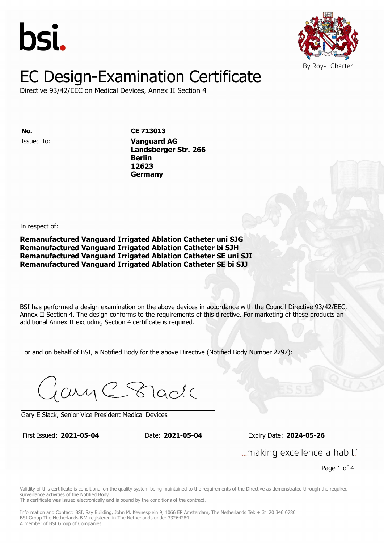



Directive 93/42/EEC on Medical Devices, Annex II Section 4

Issued To: **Vanguard AG No. CE 713013 Landsberger Str. 266 Berlin** Issued To: **Vanguard AG 12623 Landsberger Str. 266 Berlin 12623 Germany**

In respect of:

**Remanufactured Vanguard Irrigated Ablation Catheter uni SJG Remanufactured Vanguard Irrigated Ablation Catheter bi SJH Remanufactured Vanguard Irrigated Ablation Catheter SE uni SJI Remanufactured Vanguard Irrigated Ablation Catheter SE bi SJJ**

BSI has performed a design examination on the above devices in accordance with the Council Directive 93/42/EEC, Annex II Section 4. The design conforms to the requirements of this directive. For marketing of these products an additional Annex II excluding Section 4 certificate is required.

For and on behalf of BSI, a Notified Body for the above Directive (Notified Body Number 2797):

Gary C Stade

Gary E Slack, Senior Vice President Medical Devices

First Issued: **2021-05-04** Date: **2021-05-04** Expiry Date: **2024-05-26** First Issued: **2021-05-04** Date: **2021-05-04** Expiry Date: **2024-05-26**

... making excellence a habit."

Page 1 of 4

Validity of this certificate is conditional on the quality system being maintained to the requirements of the Directive as demonstrated through the required surveillance activities of the Notified Body.

This certificate was issued electronically and is bound by the conditions of the contract.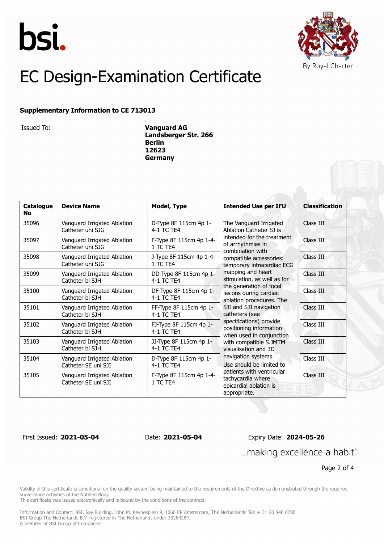



#### **Supplementary Information to CE 713013**

Issued To: **Vanguard AG Landsberger Str. 266 Berlin 12623 Germany**

| Catalogue<br><b>No</b> | <b>Device Name</b>                                 | <b>Model, Type</b>                   | <b>Intended Use per IFU</b>                                                                                                                                                                                                                                                                                                                                                                                                                                                                                                                                                                                                                           | <b>Classification</b> |
|------------------------|----------------------------------------------------|--------------------------------------|-------------------------------------------------------------------------------------------------------------------------------------------------------------------------------------------------------------------------------------------------------------------------------------------------------------------------------------------------------------------------------------------------------------------------------------------------------------------------------------------------------------------------------------------------------------------------------------------------------------------------------------------------------|-----------------------|
| 35096                  | Vanguard Irrigated Ablation<br>Catheter uni SJG    | D-Type 8F 115cm 4p 1-<br>4-1 TC TE4  | The Vanguard Irrigated<br>Ablation Catheter SJ is<br>intended for the treatment<br>of arrhythmias in<br>combination with<br>compatible accessories:<br>temporary intracardiac ECG<br>mapping and heart<br>stimulation, as well as for<br>the generation of focal<br>lesions during cardiac<br>ablation procedures. The<br>SJI and SJJ navigation<br>catheters (see<br>specifications) provide<br>positioning information<br>when used in conjunction<br>with compatible S.JMTM<br>visualisation and 3D<br>navigation systems.<br>Use should be limited to<br>patients with ventricular<br>tachycardia where<br>epicardial ablation is<br>appropriate. | Class III             |
| 35097                  | Vanguard Irrigated Ablation<br>Catheter uni SJG    | F-Type 8F 115cm 4p 1-4-<br>1 TC TF4  |                                                                                                                                                                                                                                                                                                                                                                                                                                                                                                                                                                                                                                                       | Class III             |
| 35098                  | Vanguard Irrigated Ablation<br>Catheter uni SJG    | J-Type 8F 115cm 4p 1-4-<br>1 TC TE4  |                                                                                                                                                                                                                                                                                                                                                                                                                                                                                                                                                                                                                                                       | Class III             |
| 35099                  | Vanguard Irrigated Ablation<br>Catheter bi SJH     | DD-Type 8F 115cm 4p 1-<br>4-1 TC TE4 |                                                                                                                                                                                                                                                                                                                                                                                                                                                                                                                                                                                                                                                       | Class III             |
| 35100                  | Vanguard Irrigated Ablation<br>Catheter bi SJH     | DF-Type 8F 115cm 4p 1-<br>4-1 TC TE4 |                                                                                                                                                                                                                                                                                                                                                                                                                                                                                                                                                                                                                                                       | Class III             |
| 35101                  | Vanguard Irrigated Ablation<br>Catheter bi SJH     | FF-Type 8F 115cm 4p 1-<br>4-1 TC TE4 |                                                                                                                                                                                                                                                                                                                                                                                                                                                                                                                                                                                                                                                       | Class III             |
| 35102                  | Vanguard Irrigated Ablation<br>Catheter bi SJH     | FJ-Type 8F 115cm 4p 1-<br>4-1 TC TF4 |                                                                                                                                                                                                                                                                                                                                                                                                                                                                                                                                                                                                                                                       | Class III             |
| 35103                  | Vanguard Irrigated Ablation<br>Catheter bi SJH     | JJ-Type 8F 115cm 4p 1-<br>4-1 TC TE4 |                                                                                                                                                                                                                                                                                                                                                                                                                                                                                                                                                                                                                                                       | Class III             |
| 35104                  | Vanguard Irrigated Ablation<br>Catheter SF uni SII | D-Type 8F 115cm 4p 1-<br>4-1 TC TE4  |                                                                                                                                                                                                                                                                                                                                                                                                                                                                                                                                                                                                                                                       | Class III             |
| 35105                  | Vanguard Irrigated Ablation<br>Catheter SE uni SJI | F-Type 8F 115cm 4p 1-4-<br>1 TC TE4  |                                                                                                                                                                                                                                                                                                                                                                                                                                                                                                                                                                                                                                                       | Class III             |

#### First Issued: **2021-05-04** Date: **2021-05-04** Expiry Date: **2024-05-26** ... making excellence a habit."

Page 2 of 4

Validity of this certificate is conditional on the quality system being maintained to the requirements of the Directive as demonstrated through the required surveillance activities of the Notified Body.

This certificate was issued electronically and is bound by the conditions of the contract.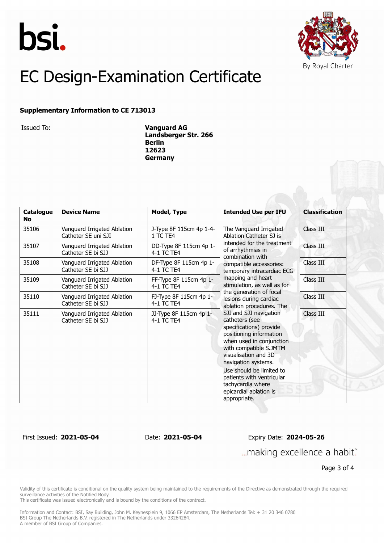



#### **Supplementary Information to CE 713013**

Issued To: **Vanguard AG Landsberger Str. 266 Berlin 12623 Germany**

| Catalogue<br><b>No</b> | <b>Device Name</b>                                 | <b>Model, Type</b>                   | <b>Intended Use per IFU</b>                                                                                                                                                                                                                                                                                                                                                                                                                                                                                                                                                                                                                           | <b>Classification</b> |
|------------------------|----------------------------------------------------|--------------------------------------|-------------------------------------------------------------------------------------------------------------------------------------------------------------------------------------------------------------------------------------------------------------------------------------------------------------------------------------------------------------------------------------------------------------------------------------------------------------------------------------------------------------------------------------------------------------------------------------------------------------------------------------------------------|-----------------------|
| 35106                  | Vanguard Irrigated Ablation<br>Catheter SE uni SJI | J-Type 8F 115cm 4p 1-4-<br>1 TC TE4  | The Vanguard Irrigated<br>Ablation Catheter SJ is<br>intended for the treatment<br>of arrhythmias in<br>combination with<br>compatible accessories:<br>temporary intracardiac ECG<br>mapping and heart<br>stimulation, as well as for<br>the generation of focal<br>lesions during cardiac<br>ablation procedures. The<br>SJI and SJJ navigation<br>catheters (see<br>specifications) provide<br>positioning information<br>when used in conjunction<br>with compatible S.JMTM<br>visualisation and 3D<br>navigation systems.<br>Use should be limited to<br>patients with ventricular<br>tachycardia where<br>epicardial ablation is<br>appropriate. | Class III             |
| 35107                  | Vanguard Irrigated Ablation<br>Catheter SE bi SJJ  | DD-Type 8F 115cm 4p 1-<br>4-1 TC TE4 |                                                                                                                                                                                                                                                                                                                                                                                                                                                                                                                                                                                                                                                       | Class III             |
| 35108                  | Vanguard Irrigated Ablation<br>Catheter SE bi SJJ  | DF-Type 8F 115cm 4p 1-<br>4-1 TC TE4 |                                                                                                                                                                                                                                                                                                                                                                                                                                                                                                                                                                                                                                                       | Class III             |
| 35109                  | Vanguard Irrigated Ablation<br>Catheter SE bi SJJ  | FF-Type 8F 115cm 4p 1-<br>4-1 TC TE4 |                                                                                                                                                                                                                                                                                                                                                                                                                                                                                                                                                                                                                                                       | Class III             |
| 35110                  | Vanguard Irrigated Ablation<br>Catheter SE bi SJJ  | FJ-Type 8F 115cm 4p 1-<br>4-1 TC TE4 |                                                                                                                                                                                                                                                                                                                                                                                                                                                                                                                                                                                                                                                       | Class III             |
| 35111                  | Vanguard Irrigated Ablation<br>Catheter SE bi SJJ  | JJ-Type 8F 115cm 4p 1-<br>4-1 TC TE4 |                                                                                                                                                                                                                                                                                                                                                                                                                                                                                                                                                                                                                                                       | Class III             |

First Issued: **2021-05-04** Date: **2021-05-04** Expiry Date: **2024-05-26**

... making excellence a habit."

Page 3 of 4

Validity of this certificate is conditional on the quality system being maintained to the requirements of the Directive as demonstrated through the required surveillance activities of the Notified Body.

This certificate was issued electronically and is bound by the conditions of the contract.